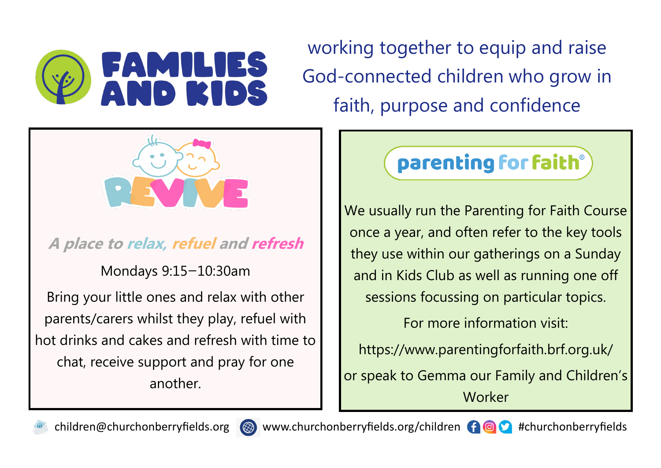

working together to equip and raise God-connected children who grow in faith, purpose and confidence



**A place to relax, refuel and refresh**

Mondays 9:15—10:30am

Bring your little ones and relax with other parents/carers whilst they play, refuel with hot drinks and cakes and refresh with time to chat, receive support and pray for one another.

## parenting for faith®

We usually run the Parenting for Faith Course once a year, and often refer to the key tools they use within our gatherings on a Sunday and in Kids Club as well as running one off sessions focussing on particular topics.

For more information visit:

https://www.parentingforfaith.brf.org.uk/

or speak to Gemma our Family and Children's Worker





children@churchonberryfields.org  $\circledast$  www.churchonberryfields.org/children  $\bullet$   $\circledast$  #churchonberryfields